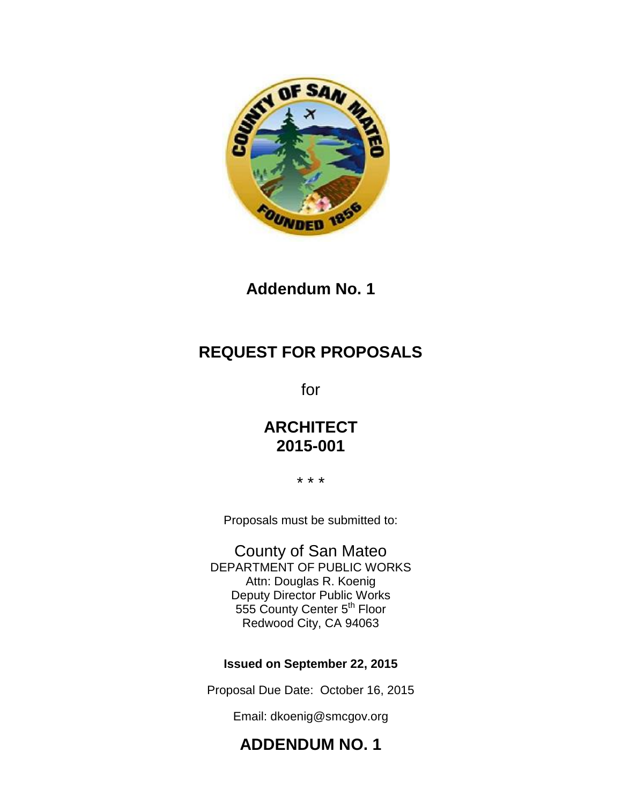

**Addendum No. 1**

# **REQUEST FOR PROPOSALS**

for

## **ARCHITECT 2015-001**

\* \* \*

Proposals must be submitted to:

County of San Mateo DEPARTMENT OF PUBLIC WORKS Attn: Douglas R. Koenig Deputy Director Public Works 555 County Center 5<sup>th</sup> Floor Redwood City, CA 94063

#### **Issued on September 22, 2015**

Proposal Due Date: October 16, 2015

Email: dkoenig@smcgov.org

## **ADDENDUM NO. 1**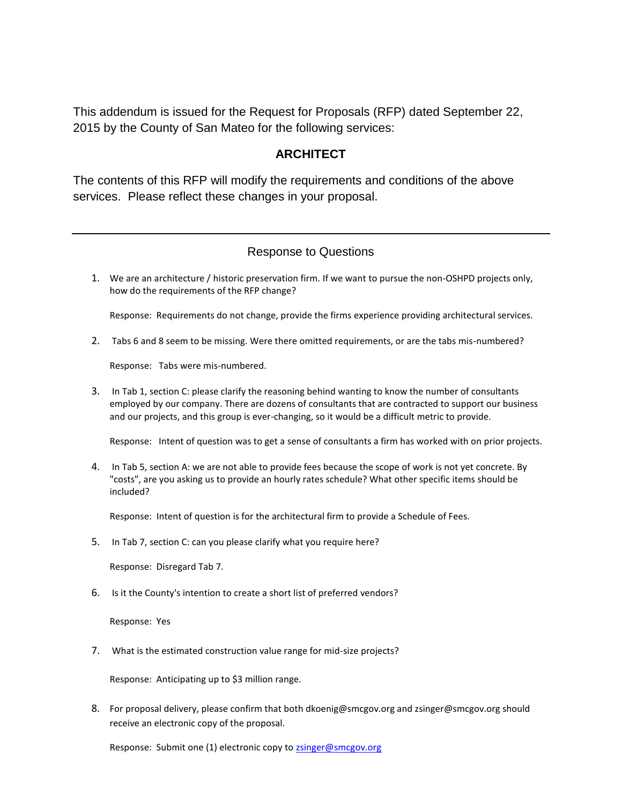This addendum is issued for the Request for Proposals (RFP) dated September 22, 2015 by the County of San Mateo for the following services:

#### **ARCHITECT**

The contents of this RFP will modify the requirements and conditions of the above services. Please reflect these changes in your proposal.

#### Response to Questions

1. We are an architecture / historic preservation firm. If we want to pursue the non-OSHPD projects only, how do the requirements of the RFP change?

Response: Requirements do not change, provide the firms experience providing architectural services.

2. Tabs 6 and 8 seem to be missing. Were there omitted requirements, or are the tabs mis-numbered?

Response: Tabs were mis-numbered.

3. In Tab 1, section C: please clarify the reasoning behind wanting to know the number of consultants employed by our company. There are dozens of consultants that are contracted to support our business and our projects, and this group is ever-changing, so it would be a difficult metric to provide.

Response: Intent of question was to get a sense of consultants a firm has worked with on prior projects.

4. In Tab 5, section A: we are not able to provide fees because the scope of work is not yet concrete. By "costs", are you asking us to provide an hourly rates schedule? What other specific items should be included?

Response: Intent of question is for the architectural firm to provide a Schedule of Fees.

5. In Tab 7, section C: can you please clarify what you require here?

Response: Disregard Tab 7.

6. Is it the County's intention to create a short list of preferred vendors?

Response: Yes

7. What is the estimated construction value range for mid-size projects?

Response: Anticipating up to \$3 million range.

8. For proposal delivery, please confirm that both dkoenig@smcgov.org and zsinger@smcgov.org should receive an electronic copy of the proposal.

Response: Submit one (1) electronic copy to **zsinger@smcgov.org**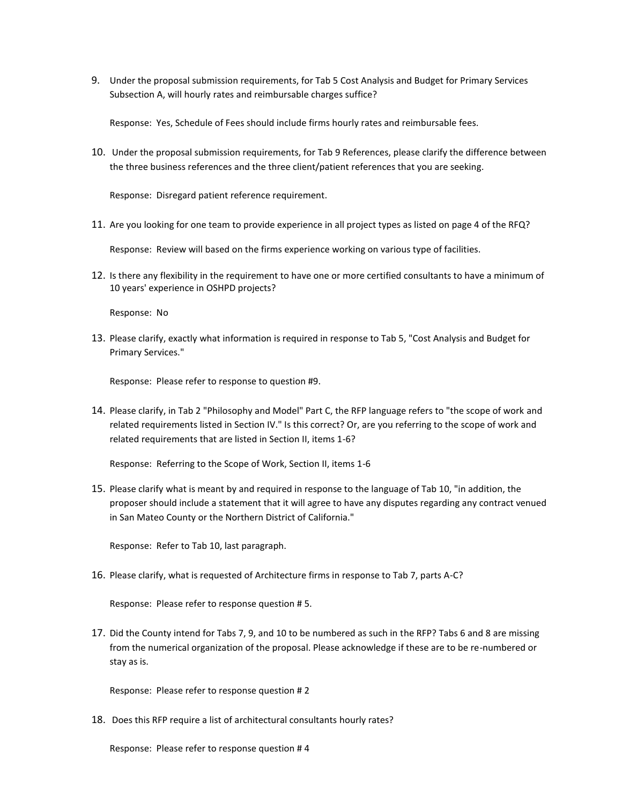9. Under the proposal submission requirements, for Tab 5 Cost Analysis and Budget for Primary Services Subsection A, will hourly rates and reimbursable charges suffice?

Response: Yes, Schedule of Fees should include firms hourly rates and reimbursable fees.

10. Under the proposal submission requirements, for Tab 9 References, please clarify the difference between the three business references and the three client/patient references that you are seeking.

Response: Disregard patient reference requirement.

11. Are you looking for one team to provide experience in all project types as listed on page 4 of the RFQ?

Response: Review will based on the firms experience working on various type of facilities.

12. Is there any flexibility in the requirement to have one or more certified consultants to have a minimum of 10 years' experience in OSHPD projects?

Response: No

13. Please clarify, exactly what information is required in response to Tab 5, "Cost Analysis and Budget for Primary Services."

Response: Please refer to response to question #9.

14. Please clarify, in Tab 2 "Philosophy and Model" Part C, the RFP language refers to "the scope of work and related requirements listed in Section IV." Is this correct? Or, are you referring to the scope of work and related requirements that are listed in Section II, items 1-6?

Response: Referring to the Scope of Work, Section II, items 1-6

15. Please clarify what is meant by and required in response to the language of Tab 10, "in addition, the proposer should include a statement that it will agree to have any disputes regarding any contract venued in San Mateo County or the Northern District of California."

Response: Refer to Tab 10, last paragraph.

16. Please clarify, what is requested of Architecture firms in response to Tab 7, parts A-C?

Response: Please refer to response question # 5.

17. Did the County intend for Tabs 7, 9, and 10 to be numbered as such in the RFP? Tabs 6 and 8 are missing from the numerical organization of the proposal. Please acknowledge if these are to be re-numbered or stay as is.

Response: Please refer to response question # 2

18. Does this RFP require a list of architectural consultants hourly rates?

Response: Please refer to response question # 4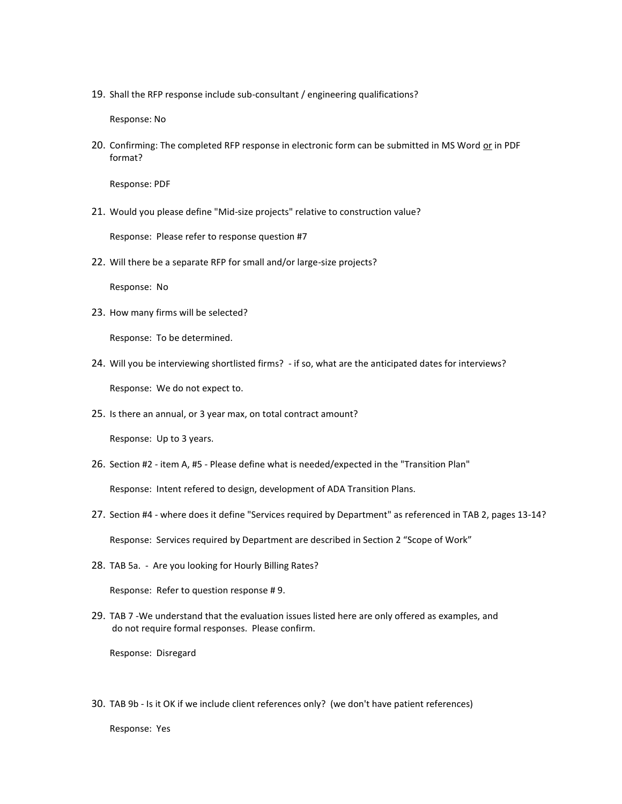19. Shall the RFP response include sub-consultant / engineering qualifications?

Response: No

20. Confirming: The completed RFP response in electronic form can be submitted in MS Word or in PDF format?

Response: PDF

21. Would you please define "Mid-size projects" relative to construction value?

Response: Please refer to response question #7

22. Will there be a separate RFP for small and/or large-size projects?

Response: No

23. How many firms will be selected?

Response: To be determined.

- 24. Will you be interviewing shortlisted firms? if so, what are the anticipated dates for interviews? Response: We do not expect to.
- 25. Is there an annual, or 3 year max, on total contract amount?

Response: Up to 3 years.

26. Section #2 - item A, #5 - Please define what is needed/expected in the "Transition Plan"

Response: Intent refered to design, development of ADA Transition Plans.

- 27. Section #4 where does it define "Services required by Department" as referenced in TAB 2, pages 13-14? Response: Services required by Department are described in Section 2 "Scope of Work"
- 28. TAB 5a. Are you looking for Hourly Billing Rates?

Response: Refer to question response # 9.

29. TAB 7 -We understand that the evaluation issues listed here are only offered as examples, and do not require formal responses. Please confirm.

Response: Disregard

30. TAB 9b - Is it OK if we include client references only? (we don't have patient references)

Response: Yes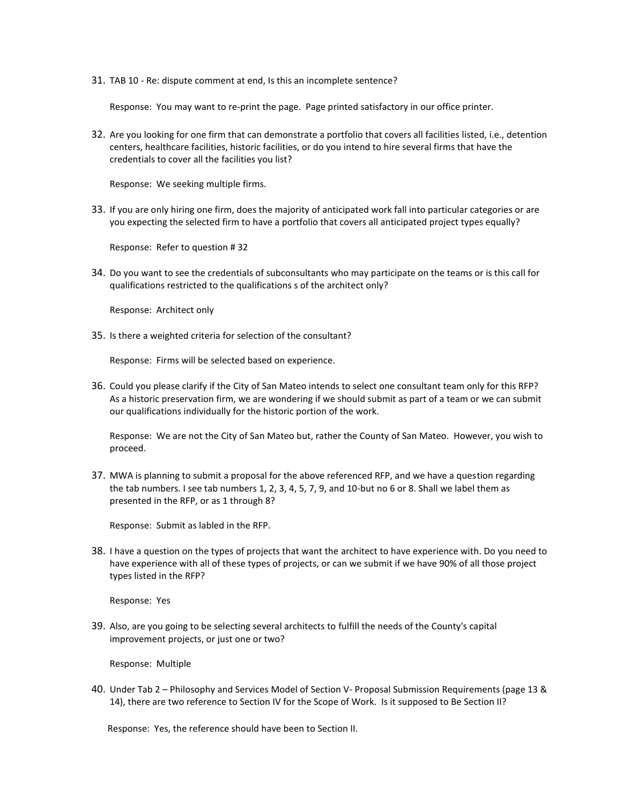31. TAB 10 - Re: dispute comment at end, Is this an incomplete sentence?

Response: You may want to re-print the page. Page printed satisfactory in our office printer.

32. Are you looking for one firm that can demonstrate a portfolio that covers all facilities listed, i.e., detention centers, healthcare facilities, historic facilities, or do you intend to hire several firms that have the credentials to cover all the facilities you list?

Response: We seeking multiple firms.

33. If you are only hiring one firm, does the majority of anticipated work fall into particular categories or are you expecting the selected firm to have a portfolio that covers all anticipated project types equally?

Response: Refer to question # 32

34. Do you want to see the credentials of subconsultants who may participate on the teams or is this call for qualifications restricted to the qualifications s of the architect only?

Response: Architect only

35. Is there a weighted criteria for selection of the consultant?

Response: Firms will be selected based on experience.

36. Could you please clarify if the City of San Mateo intends to select one consultant team only for this RFP? As a historic preservation firm, we are wondering if we should submit as part of a team or we can submit our qualifications individually for the historic portion of the work.

Response: We are not the City of San Mateo but, rather the County of San Mateo. However, you wish to proceed.

37. MWA is planning to submit a proposal for the above referenced RFP, and we have a question regarding the tab numbers. I see tab numbers 1, 2, 3, 4, 5, 7, 9, and 10-but no 6 or 8. Shall we label them as presented in the RFP, or as 1 through 8?

Response: Submit as labled in the RFP.

38. I have a question on the types of projects that want the architect to have experience with. Do you need to have experience with all of these types of projects, or can we submit if we have 90% of all those project types listed in the RFP?

Response: Yes

39. Also, are you going to be selecting several architects to fulfill the needs of the County's capital improvement projects, or just one or two?

Response: Multiple

40. Under Tab 2 – Philosophy and Services Model of Section V- Proposal Submission Requirements (page 13 & 14), there are two reference to Section IV for the Scope of Work. Is it supposed to Be Section II?

Response: Yes, the reference should have been to Section II.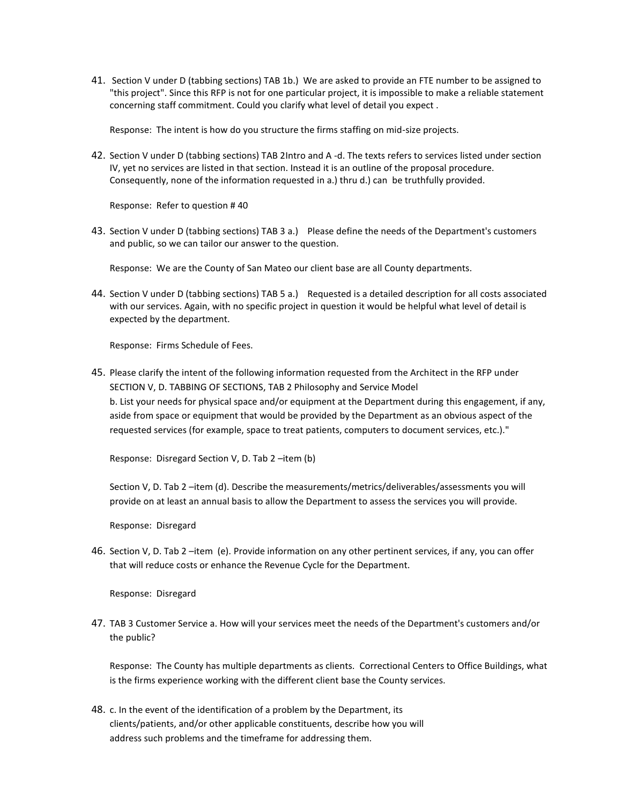41. Section V under D (tabbing sections) TAB 1b.) We are asked to provide an FTE number to be assigned to "this project". Since this RFP is not for one particular project, it is impossible to make a reliable statement concerning staff commitment. Could you clarify what level of detail you expect .

Response: The intent is how do you structure the firms staffing on mid-size projects.

42. Section V under D (tabbing sections) TAB 2Intro and A -d. The texts refers to services listed under section IV, yet no services are listed in that section. Instead it is an outline of the proposal procedure. Consequently, none of the information requested in a.) thru d.) can be truthfully provided.

Response: Refer to question # 40

43. Section V under D (tabbing sections) TAB 3 a.) Please define the needs of the Department's customers and public, so we can tailor our answer to the question.

Response: We are the County of San Mateo our client base are all County departments.

44. Section V under D (tabbing sections) TAB 5 a.) Requested is a detailed description for all costs associated with our services. Again, with no specific project in question it would be helpful what level of detail is expected by the department.

Response: Firms Schedule of Fees.

45. Please clarify the intent of the following information requested from the Architect in the RFP under SECTION V, D. TABBING OF SECTIONS, TAB 2 Philosophy and Service Model b. List your needs for physical space and/or equipment at the Department during this engagement, if any, aside from space or equipment that would be provided by the Department as an obvious aspect of the requested services (for example, space to treat patients, computers to document services, etc.)."

Response: Disregard Section V, D. Tab 2 –item (b)

Section V, D. Tab 2 –item (d). Describe the measurements/metrics/deliverables/assessments you will provide on at least an annual basis to allow the Department to assess the services you will provide.

Response: Disregard

46. Section V, D. Tab 2 –item (e). Provide information on any other pertinent services, if any, you can offer that will reduce costs or enhance the Revenue Cycle for the Department.

Response: Disregard

47. TAB 3 Customer Service a. How will your services meet the needs of the Department's customers and/or the public?

Response: The County has multiple departments as clients. Correctional Centers to Office Buildings, what is the firms experience working with the different client base the County services.

48. c. In the event of the identification of a problem by the Department, its clients/patients, and/or other applicable constituents, describe how you will address such problems and the timeframe for addressing them.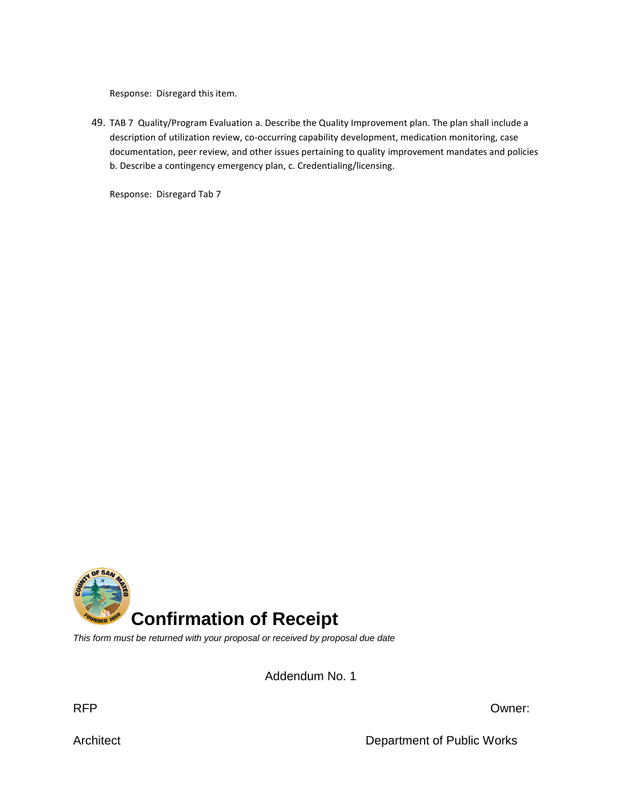Response: Disregard this item.

49. TAB 7 Quality/Program Evaluation a. Describe the Quality Improvement plan. The plan shall include a description of utilization review, co-occurring capability development, medication monitoring, case documentation, peer review, and other issues pertaining to quality improvement mandates and policies b. Describe a contingency emergency plan, c. Credentialing/licensing.

Response: Disregard Tab 7



*This form must be returned with your proposal or received by proposal due date*

Addendum No. 1

RFP Owner:

Architect **Department of Public Works**